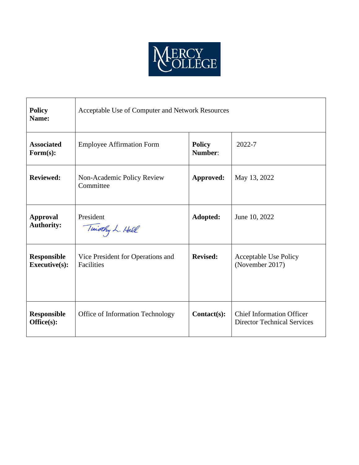

| <b>Policy</b><br>Name:                     | Acceptable Use of Computer and Network Resources |                          |                                                                        |
|--------------------------------------------|--------------------------------------------------|--------------------------|------------------------------------------------------------------------|
| <b>Associated</b><br>Form(s):              | <b>Employee Affirmation Form</b>                 | <b>Policy</b><br>Number: | 2022-7                                                                 |
| <b>Reviewed:</b>                           | Non-Academic Policy Review<br>Committee          | Approved:                | May 13, 2022                                                           |
| <b>Approval</b><br><b>Authority:</b>       | President<br>Timothy L. Hall                     | Adopted:                 | June 10, 2022                                                          |
| <b>Responsible</b><br><b>Executive(s):</b> | Vice President for Operations and<br>Facilities  | <b>Revised:</b>          | Acceptable Use Policy<br>(November 2017)                               |
| <b>Responsible</b><br>Office(s):           | Office of Information Technology                 | Contact(s):              | <b>Chief Information Officer</b><br><b>Director Technical Services</b> |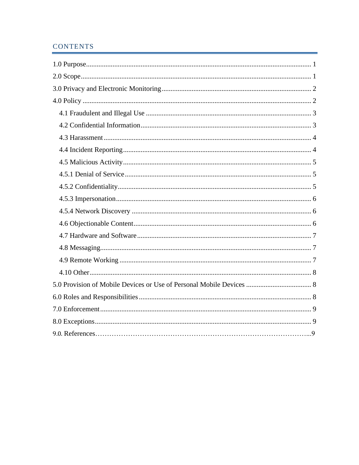# **CONTENTS**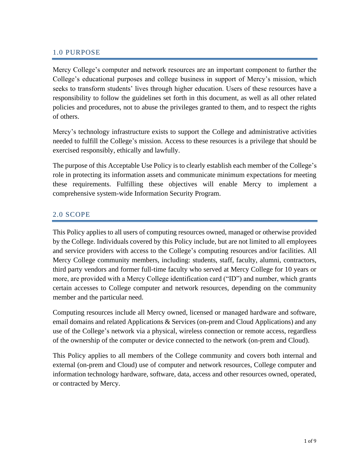#### <span id="page-2-0"></span>1.0 PURPOSE

Mercy College's computer and network resources are an important component to further the College's educational purposes and college business in support of Mercy's mission, which seeks to transform students' lives through higher education. Users of these resources have a responsibility to follow the guidelines set forth in this document, as well as all other related policies and procedures, not to abuse the privileges granted to them, and to respect the rights of others.

Mercy's technology infrastructure exists to support the College and administrative activities needed to fulfill the College's mission. Access to these resources is a privilege that should be exercised responsibly, ethically and lawfully.

The purpose of this Acceptable Use Policy is to clearly establish each member of the College's role in protecting its information assets and communicate minimum expectations for meeting these requirements. Fulfilling these objectives will enable Mercy to implement a comprehensive system-wide Information Security Program.

### <span id="page-2-1"></span>2.0 SCOPE

This Policy applies to all users of computing resources owned, managed or otherwise provided by the College. Individuals covered by this Policy include, but are not limited to all employees and service providers with access to the College's computing resources and/or facilities. All Mercy College community members, including: students, staff, faculty, alumni, contractors, third party vendors and former full-time faculty who served at Mercy College for 10 years or more, are provided with a Mercy College identification card ("ID") and number, which grants certain accesses to College computer and network resources, depending on the community member and the particular need.

Computing resources include all Mercy owned, licensed or managed hardware and software, email domains and related Applications & Services (on-prem and Cloud Applications) and any use of the College's network via a physical, wireless connection or remote access, regardless of the ownership of the computer or device connected to the network (on-prem and Cloud).

This Policy applies to all members of the College community and covers both internal and external (on-prem and Cloud) use of computer and network resources, College computer and information technology hardware, software, data, access and other resources owned, operated, or contracted by Mercy.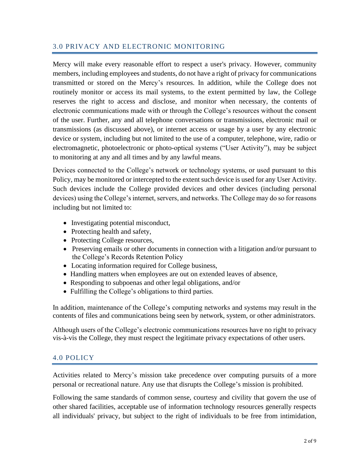### <span id="page-3-0"></span>3.0 PRIVACY AND ELECTRONIC MONITORING

Mercy will make every reasonable effort to respect a user's privacy. However, community members, including employees and students, do not have a right of privacy for communications transmitted or stored on the Mercy's resources. In addition, while the College does not routinely monitor or access its mail systems, to the extent permitted by law, the College reserves the right to access and disclose, and monitor when necessary, the contents of electronic communications made with or through the College's resources without the consent of the user. Further, any and all telephone conversations or transmissions, electronic mail or transmissions (as discussed above), or internet access or usage by a user by any electronic device or system, including but not limited to the use of a computer, telephone, wire, radio or electromagnetic, photoelectronic or photo-optical systems ("User Activity"), may be subject to monitoring at any and all times and by any lawful means.

Devices connected to the College's network or technology systems, or used pursuant to this Policy, may be monitored or intercepted to the extent such device is used for any User Activity. Such devices include the College provided devices and other devices (including personal devices) using the College's internet, servers, and networks. The College may do so for reasons including but not limited to:

- Investigating potential misconduct,
- Protecting health and safety,
- Protecting College resources,
- Preserving emails or other documents in connection with a litigation and/or pursuant to the College's Records Retention Policy
- Locating information required for College business,
- Handling matters when employees are out on extended leaves of absence,
- Responding to subpoenas and other legal obligations, and/or
- Fulfilling the College's obligations to third parties.

In addition, maintenance of the College's computing networks and systems may result in the contents of files and communications being seen by network, system, or other administrators.

Although users of the College's electronic communications resources have no right to privacy vis-à-vis the College, they must respect the legitimate privacy expectations of other users.

### <span id="page-3-1"></span>4.0 POLICY

Activities related to Mercy's mission take precedence over computing pursuits of a more personal or recreational nature. Any use that disrupts the College's mission is prohibited.

Following the same standards of common sense, courtesy and civility that govern the use of other shared facilities, acceptable use of information technology resources generally respects all individuals' privacy, but subject to the right of individuals to be free from intimidation,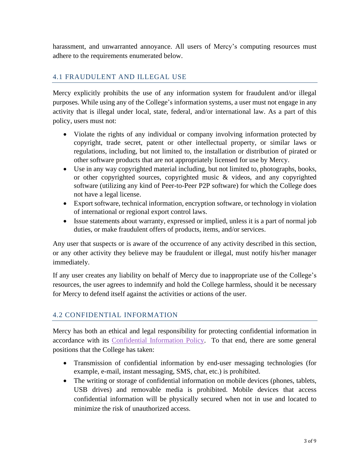harassment, and unwarranted annoyance. All users of Mercy's computing resources must adhere to the requirements enumerated below.

### <span id="page-4-0"></span>4.1 FRAUDULENT AND ILLEGAL USE

Mercy explicitly prohibits the use of any information system for fraudulent and/or illegal purposes. While using any of the College's information systems, a user must not engage in any activity that is illegal under local, state, federal, and/or international law. As a part of this policy, users must not:

- Violate the rights of any individual or company involving information protected by copyright, trade secret, patent or other intellectual property, or similar laws or regulations, including, but not limited to, the installation or distribution of pirated or other software products that are not appropriately licensed for use by Mercy.
- Use in any way copyrighted material including, but not limited to, photographs, books, or other copyrighted sources, copyrighted music & videos, and any copyrighted software (utilizing any kind of Peer-to-Peer P2P software) for which the College does not have a legal license.
- Export software, technical information, encryption software, or technology in violation of international or regional export control laws.
- Issue statements about warranty, expressed or implied, unless it is a part of normal job duties, or make fraudulent offers of products, items, and/or services.

Any user that suspects or is aware of the occurrence of any activity described in this section, or any other activity they believe may be fraudulent or illegal, must notify his/her manager immediately.

If any user creates any liability on behalf of Mercy due to inappropriate use of the College's resources, the user agrees to indemnify and hold the College harmless, should it be necessary for Mercy to defend itself against the activities or actions of the user.

### <span id="page-4-1"></span>4.2 CONFIDENTIAL INFORMATION

Mercy has both an ethical and legal responsibility for protecting confidential information in accordance with its [Confidential Information Policy.](https://www.mercy.edu/media/confidential-information-policy) To that end, there are some general positions that the College has taken:

- Transmission of confidential information by end-user messaging technologies (for example, e-mail, instant messaging, SMS, chat, etc.) is prohibited.
- The writing or storage of confidential information on mobile devices (phones, tablets, USB drives) and removable media is prohibited. Mobile devices that access confidential information will be physically secured when not in use and located to minimize the risk of unauthorized access.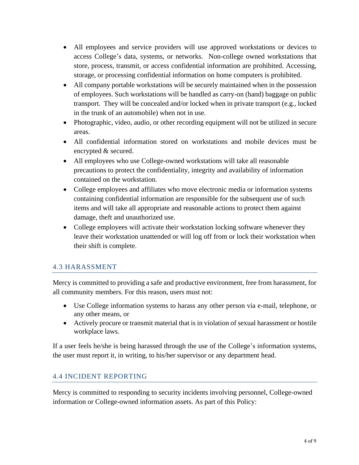- All employees and service providers will use approved workstations or devices to access College's data, systems, or networks. Non-college owned workstations that store, process, transmit, or access confidential information are prohibited. Accessing, storage, or processing confidential information on home computers is prohibited.
- All company portable workstations will be securely maintained when in the possession of employees. Such workstations will be handled as carry-on (hand) baggage on public transport. They will be concealed and/or locked when in private transport (e.g., locked in the trunk of an automobile) when not in use.
- Photographic, video, audio, or other recording equipment will not be utilized in secure areas.
- All confidential information stored on workstations and mobile devices must be encrypted & secured.
- All employees who use College-owned workstations will take all reasonable precautions to protect the confidentiality, integrity and availability of information contained on the workstation.
- College employees and affiliates who move electronic media or information systems containing confidential information are responsible for the subsequent use of such items and will take all appropriate and reasonable actions to protect them against damage, theft and unauthorized use.
- College employees will activate their workstation locking software whenever they leave their workstation unattended or will log off from or lock their workstation when their shift is complete.

### <span id="page-5-0"></span>4.3 HARASSMENT

Mercy is committed to providing a safe and productive environment, free from harassment, for all community members. For this reason, users must not:

- Use College information systems to harass any other person via e-mail, telephone, or any other means, or
- Actively procure or transmit material that is in violation of sexual harassment or hostile workplace laws.

If a user feels he/she is being harassed through the use of the College's information systems, the user must report it, in writing, to his/her supervisor or any department head.

### <span id="page-5-1"></span>4.4 INCIDENT REPORTING

Mercy is committed to responding to security incidents involving personnel, College-owned information or College-owned information assets. As part of this Policy: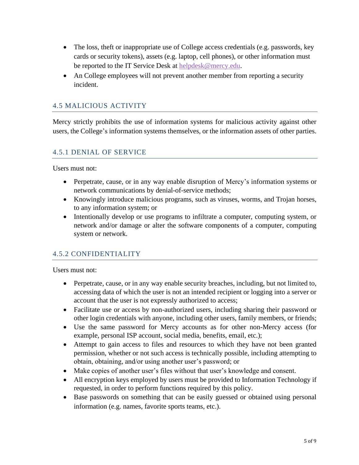- The loss, theft or inappropriate use of College access credentials (e.g. passwords, key cards or security tokens), assets (e.g. laptop, cell phones), or other information must be reported to the IT Service Desk at [helpdesk@mercy.edu.](mailto:helpdesk@mercy.edu)
- An College employees will not prevent another member from reporting a security incident.

### <span id="page-6-0"></span>4.5 MALICIOUS ACTIVITY

Mercy strictly prohibits the use of information systems for malicious activity against other users, the College's information systems themselves, or the information assets of other parties.

### <span id="page-6-1"></span>4.5.1 DENIAL OF SERVICE

Users must not:

- Perpetrate, cause, or in any way enable disruption of Mercy's information systems or network communications by denial-of-service methods;
- Knowingly introduce malicious programs, such as viruses, worms, and Trojan horses, to any information system; or
- Intentionally develop or use programs to infiltrate a computer, computing system, or network and/or damage or alter the software components of a computer, computing system or network.

#### <span id="page-6-2"></span>4.5.2 CONFIDENTIALITY

Users must not:

- Perpetrate, cause, or in any way enable security breaches, including, but not limited to, accessing data of which the user is not an intended recipient or logging into a server or account that the user is not expressly authorized to access;
- Facilitate use or access by non-authorized users, including sharing their password or other login credentials with anyone, including other users, family members, or friends;
- Use the same password for Mercy accounts as for other non-Mercy access (for example, personal ISP account, social media, benefits, email, etc.);
- Attempt to gain access to files and resources to which they have not been granted permission, whether or not such access is technically possible, including attempting to obtain, obtaining, and/or using another user's password; or
- Make copies of another user's files without that user's knowledge and consent.
- All encryption keys employed by users must be provided to Information Technology if requested, in order to perform functions required by this policy.
- Base passwords on something that can be easily guessed or obtained using personal information (e.g. names, favorite sports teams, etc.).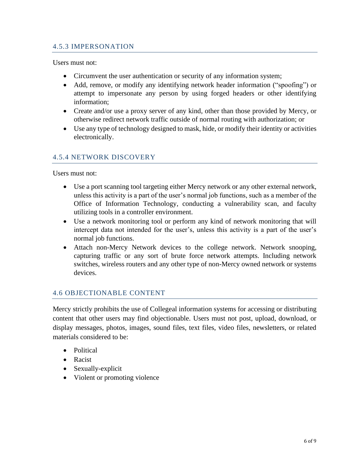#### <span id="page-7-0"></span>4.5.3 IMPERSONATION

Users must not:

- Circumvent the user authentication or security of any information system;
- Add, remove, or modify any identifying network header information ("spoofing") or attempt to impersonate any person by using forged headers or other identifying information;
- Create and/or use a proxy server of any kind, other than those provided by Mercy, or otherwise redirect network traffic outside of normal routing with authorization; or
- Use any type of technology designed to mask, hide, or modify their identity or activities electronically.

### <span id="page-7-1"></span>4.5.4 NETWORK DISCOVERY

Users must not:

- Use a port scanning tool targeting either Mercy network or any other external network, unless this activity is a part of the user's normal job functions, such as a member of the Office of Information Technology, conducting a vulnerability scan, and faculty utilizing tools in a controller environment.
- Use a network monitoring tool or perform any kind of network monitoring that will intercept data not intended for the user's, unless this activity is a part of the user's normal job functions.
- Attach non-Mercy Network devices to the college network. Network snooping, capturing traffic or any sort of brute force network attempts. Including network switches, wireless routers and any other type of non-Mercy owned network or systems devices.

#### <span id="page-7-2"></span>4.6 OBJECTIONABLE CONTENT

Mercy strictly prohibits the use of Collegeal information systems for accessing or distributing content that other users may find objectionable. Users must not post, upload, download, or display messages, photos, images, sound files, text files, video files, newsletters, or related materials considered to be:

- Political
- Racist
- Sexually-explicit
- Violent or promoting violence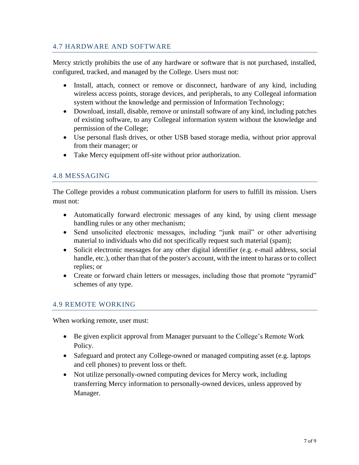### <span id="page-8-0"></span>4.7 HARDWARE AND SOFTWARE

Mercy strictly prohibits the use of any hardware or software that is not purchased, installed, configured, tracked, and managed by the College. Users must not:

- Install, attach, connect or remove or disconnect, hardware of any kind, including wireless access points, storage devices, and peripherals, to any Collegeal information system without the knowledge and permission of Information Technology;
- Download, install, disable, remove or uninstall software of any kind, including patches of existing software, to any Collegeal information system without the knowledge and permission of the College;
- Use personal flash drives, or other USB based storage media, without prior approval from their manager; or
- Take Mercy equipment off-site without prior authorization.

## <span id="page-8-1"></span>4.8 MESSAGING

The College provides a robust communication platform for users to fulfill its mission. Users must not:

- Automatically forward electronic messages of any kind, by using client message handling rules or any other mechanism;
- Send unsolicited electronic messages, including "junk mail" or other advertising material to individuals who did not specifically request such material (spam);
- Solicit electronic messages for any other digital identifier (e.g. e-mail address, social handle, etc.), other than that of the poster's account, with the intent to harass or to collect replies; or
- Create or forward chain letters or messages, including those that promote "pyramid" schemes of any type.

#### <span id="page-8-2"></span>4.9 REMOTE WORKING

When working remote, user must:

- Be given explicit approval from Manager pursuant to the College's Remote Work Policy.
- Safeguard and protect any College-owned or managed computing asset (e.g. laptops and cell phones) to prevent loss or theft.
- Not utilize personally-owned computing devices for Mercy work, including transferring Mercy information to personally-owned devices, unless approved by Manager.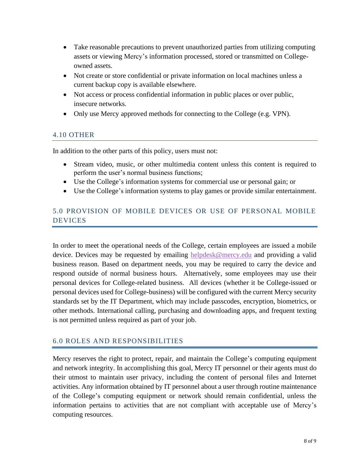- Take reasonable precautions to prevent unauthorized parties from utilizing computing assets or viewing Mercy's information processed, stored or transmitted on Collegeowned assets.
- Not create or store confidential or private information on local machines unless a current backup copy is available elsewhere.
- Not access or process confidential information in public places or over public, insecure networks.
- Only use Mercy approved methods for connecting to the College (e.g. VPN).

### <span id="page-9-0"></span>4.10 OTHER

In addition to the other parts of this policy, users must not:

- Stream video, music, or other multimedia content unless this content is required to perform the user's normal business functions;
- Use the College's information systems for commercial use or personal gain; or
- Use the College's information systems to play games or provide similar entertainment.

## <span id="page-9-1"></span>5.0 PROVISION OF MOBILE DEVICES OR USE OF PERSONAL MOBILE DEVICES

In order to meet the operational needs of the College, certain employees are issued a mobile device. Devices may be requested by emailing [helpdesk@mercy.edu](mailto:helpdesk@mercy.edu) and providing a valid business reason. Based on department needs, you may be required to carry the device and respond outside of normal business hours. Alternatively, some employees may use their personal devices for College-related business. All devices (whether it be College-issued or personal devices used for College-business) will be configured with the current Mercy security standards set by the IT Department, which may include passcodes, encryption, biometrics, or other methods. International calling, purchasing and downloading apps, and frequent texting is not permitted unless required as part of your job.

### 6.0 ROLES AND RESPONSIBILITIES

Mercy reserves the right to protect, repair, and maintain the College's computing equipment and network integrity. In accomplishing this goal, Mercy IT personnel or their agents must do their utmost to maintain user privacy, including the content of personal files and Internet activities. Any information obtained by IT personnel about a user through routine maintenance of the College's computing equipment or network should remain confidential, unless the information pertains to activities that are not compliant with acceptable use of Mercy's computing resources.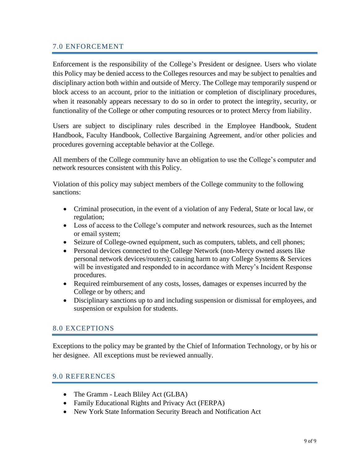#### <span id="page-10-0"></span>7.0 ENFORCEMENT

Enforcement is the responsibility of the College's President or designee. Users who violate this Policy may be denied access to the Colleges resources and may be subject to penalties and disciplinary action both within and outside of Mercy. The College may temporarily suspend or block access to an account, prior to the initiation or completion of disciplinary procedures, when it reasonably appears necessary to do so in order to protect the integrity, security, or functionality of the College or other computing resources or to protect Mercy from liability.

Users are subject to disciplinary rules described in the Employee Handbook, Student Handbook, Faculty Handbook, Collective Bargaining Agreement, and/or other policies and procedures governing acceptable behavior at the College.

All members of the College community have an obligation to use the College's computer and network resources consistent with this Policy.

Violation of this policy may subject members of the College community to the following sanctions:

- Criminal prosecution, in the event of a violation of any Federal, State or local law, or regulation;
- Loss of access to the College's computer and network resources, such as the Internet or email system;
- Seizure of College-owned equipment, such as computers, tablets, and cell phones;
- Personal devices connected to the College Network (non-Mercy owned assets like personal network devices/routers); causing harm to any College Systems & Services will be investigated and responded to in accordance with Mercy's Incident Response procedures.
- Required reimbursement of any costs, losses, damages or expenses incurred by the College or by others; and
- Disciplinary sanctions up to and including suspension or dismissal for employees, and suspension or expulsion for students.

#### <span id="page-10-1"></span>8.0 EXCEPTIONS

Exceptions to the policy may be granted by the Chief of Information Technology, or by his or her designee. All exceptions must be reviewed annually.

#### <span id="page-10-2"></span>9.0 REFERENCES

- The Gramm Leach Bliley Act (GLBA)
- Family Educational Rights and Privacy Act (FERPA)
- New York State Information Security Breach and Notification Act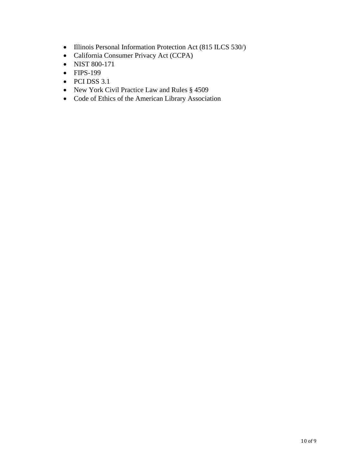- Illinois Personal Information Protection Act (815 ILCS 530/)
- California Consumer Privacy Act (CCPA)
- NIST 800-171
- FIPS-199
- PCI DSS 3.1
- New York Civil Practice Law and Rules § 4509
- Code of Ethics of the American Library Association